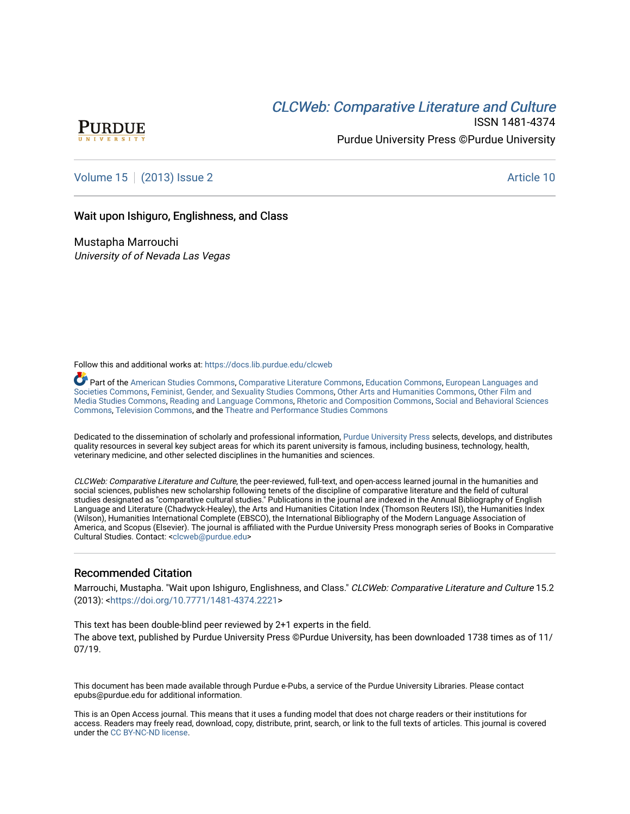# **CLCW[eb: Comparative Liter](https://docs.lib.purdue.edu/clcweb)ature and Culture**



ISSN 1481-4374 Purdue University Press ©Purdue University

## [Volume 15](https://docs.lib.purdue.edu/clcweb/vol15) | [\(2013\) Issue 2](https://docs.lib.purdue.edu/clcweb/vol15/iss2) Article 10

### Wait upon Ishiguro, Englishness, and Class

Mustapha Marrouchi University of of Nevada Las Vegas

Follow this and additional works at: [https://docs.lib.purdue.edu/clcweb](https://docs.lib.purdue.edu/clcweb?utm_source=docs.lib.purdue.edu%2Fclcweb%2Fvol15%2Fiss2%2F10&utm_medium=PDF&utm_campaign=PDFCoverPages)

Part of the [American Studies Commons](http://network.bepress.com/hgg/discipline/439?utm_source=docs.lib.purdue.edu%2Fclcweb%2Fvol15%2Fiss2%2F10&utm_medium=PDF&utm_campaign=PDFCoverPages), [Comparative Literature Commons,](http://network.bepress.com/hgg/discipline/454?utm_source=docs.lib.purdue.edu%2Fclcweb%2Fvol15%2Fiss2%2F10&utm_medium=PDF&utm_campaign=PDFCoverPages) [Education Commons,](http://network.bepress.com/hgg/discipline/784?utm_source=docs.lib.purdue.edu%2Fclcweb%2Fvol15%2Fiss2%2F10&utm_medium=PDF&utm_campaign=PDFCoverPages) [European Languages and](http://network.bepress.com/hgg/discipline/482?utm_source=docs.lib.purdue.edu%2Fclcweb%2Fvol15%2Fiss2%2F10&utm_medium=PDF&utm_campaign=PDFCoverPages) [Societies Commons](http://network.bepress.com/hgg/discipline/482?utm_source=docs.lib.purdue.edu%2Fclcweb%2Fvol15%2Fiss2%2F10&utm_medium=PDF&utm_campaign=PDFCoverPages), [Feminist, Gender, and Sexuality Studies Commons,](http://network.bepress.com/hgg/discipline/559?utm_source=docs.lib.purdue.edu%2Fclcweb%2Fvol15%2Fiss2%2F10&utm_medium=PDF&utm_campaign=PDFCoverPages) [Other Arts and Humanities Commons](http://network.bepress.com/hgg/discipline/577?utm_source=docs.lib.purdue.edu%2Fclcweb%2Fvol15%2Fiss2%2F10&utm_medium=PDF&utm_campaign=PDFCoverPages), [Other Film and](http://network.bepress.com/hgg/discipline/565?utm_source=docs.lib.purdue.edu%2Fclcweb%2Fvol15%2Fiss2%2F10&utm_medium=PDF&utm_campaign=PDFCoverPages)  [Media Studies Commons](http://network.bepress.com/hgg/discipline/565?utm_source=docs.lib.purdue.edu%2Fclcweb%2Fvol15%2Fiss2%2F10&utm_medium=PDF&utm_campaign=PDFCoverPages), [Reading and Language Commons](http://network.bepress.com/hgg/discipline/1037?utm_source=docs.lib.purdue.edu%2Fclcweb%2Fvol15%2Fiss2%2F10&utm_medium=PDF&utm_campaign=PDFCoverPages), [Rhetoric and Composition Commons,](http://network.bepress.com/hgg/discipline/573?utm_source=docs.lib.purdue.edu%2Fclcweb%2Fvol15%2Fiss2%2F10&utm_medium=PDF&utm_campaign=PDFCoverPages) [Social and Behavioral Sciences](http://network.bepress.com/hgg/discipline/316?utm_source=docs.lib.purdue.edu%2Fclcweb%2Fvol15%2Fiss2%2F10&utm_medium=PDF&utm_campaign=PDFCoverPages) [Commons,](http://network.bepress.com/hgg/discipline/316?utm_source=docs.lib.purdue.edu%2Fclcweb%2Fvol15%2Fiss2%2F10&utm_medium=PDF&utm_campaign=PDFCoverPages) [Television Commons,](http://network.bepress.com/hgg/discipline/1143?utm_source=docs.lib.purdue.edu%2Fclcweb%2Fvol15%2Fiss2%2F10&utm_medium=PDF&utm_campaign=PDFCoverPages) and the [Theatre and Performance Studies Commons](http://network.bepress.com/hgg/discipline/552?utm_source=docs.lib.purdue.edu%2Fclcweb%2Fvol15%2Fiss2%2F10&utm_medium=PDF&utm_campaign=PDFCoverPages)

Dedicated to the dissemination of scholarly and professional information, [Purdue University Press](http://www.thepress.purdue.edu/) selects, develops, and distributes quality resources in several key subject areas for which its parent university is famous, including business, technology, health, veterinary medicine, and other selected disciplines in the humanities and sciences.

CLCWeb: Comparative Literature and Culture, the peer-reviewed, full-text, and open-access learned journal in the humanities and social sciences, publishes new scholarship following tenets of the discipline of comparative literature and the field of cultural studies designated as "comparative cultural studies." Publications in the journal are indexed in the Annual Bibliography of English Language and Literature (Chadwyck-Healey), the Arts and Humanities Citation Index (Thomson Reuters ISI), the Humanities Index (Wilson), Humanities International Complete (EBSCO), the International Bibliography of the Modern Language Association of America, and Scopus (Elsevier). The journal is affiliated with the Purdue University Press monograph series of Books in Comparative Cultural Studies. Contact: [<clcweb@purdue.edu](mailto:clcweb@purdue.edu)>

### Recommended Citation

Marrouchi, Mustapha. "Wait upon Ishiguro, Englishness, and Class." CLCWeb: Comparative Literature and Culture 15.2 (2013): [<https://doi.org/10.7771/1481-4374.2221](https://doi.org/10.7771/1481-4374.2221)>

This text has been double-blind peer reviewed by 2+1 experts in the field. The above text, published by Purdue University Press ©Purdue University, has been downloaded 1738 times as of 11/ 07/19.

This document has been made available through Purdue e-Pubs, a service of the Purdue University Libraries. Please contact epubs@purdue.edu for additional information.

This is an Open Access journal. This means that it uses a funding model that does not charge readers or their institutions for access. Readers may freely read, download, copy, distribute, print, search, or link to the full texts of articles. This journal is covered under the [CC BY-NC-ND license.](https://creativecommons.org/licenses/by-nc-nd/4.0/)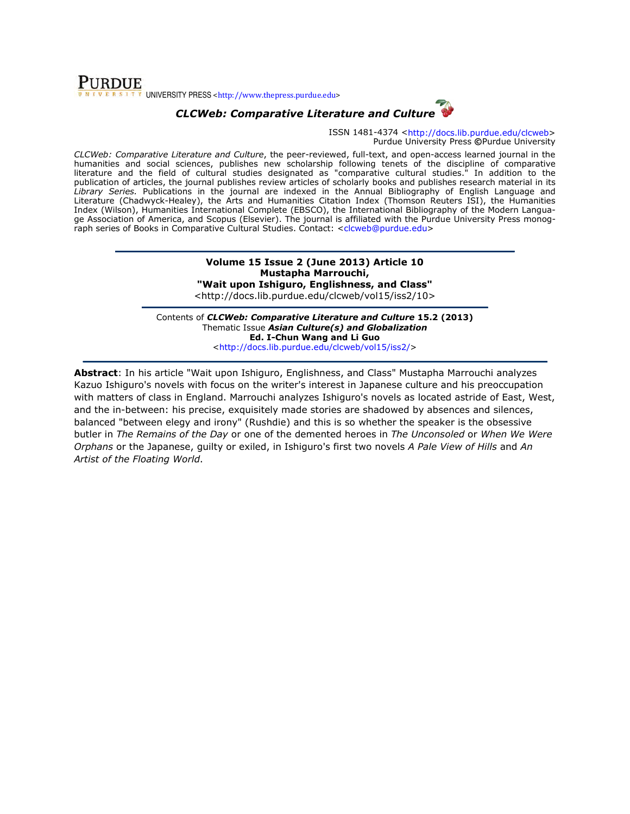### **PURDUE**  $\sqrt{\frac{x+1}{x}}$  UNIVERSITY PRESS <http://www.thepress.purdue.edu>

## CLCWeb: Comparative Literature and Culture



ISSN 1481-4374 <http://docs.lib.purdue.edu/clcweb> Purdue University Press ©Purdue University

CLCWeb: Comparative Literature and Culture, the peer-reviewed, full-text, and open-access learned journal in the humanities and social sciences, publishes new scholarship following tenets of the discipline of comparative literature and the field of cultural studies designated as "comparative cultural studies." In addition to the publication of articles, the journal publishes review articles of scholarly books and publishes research material in its Library Series. Publications in the journal are indexed in the Annual Bibliography of English Language and Literature (Chadwyck-Healey), the Arts and Humanities Citation Index (Thomson Reuters ISI), the Humanities Index (Wilson), Humanities International Complete (EBSCO), the International Bibliography of the Modern Language Association of America, and Scopus (Elsevier). The journal is affiliated with the Purdue University Press monograph series of Books in Comparative Cultural Studies. Contact: <clcweb@purdue.edu>

## Volume 15 Issue 2 (June 2013) Article 10 Mustapha Marrouchi,

"Wait upon Ishiguro, Englishness, and Class" <http://docs.lib.purdue.edu/clcweb/vol15/iss2/10>

Contents of CLCWeb: Comparative Literature and Culture 15.2 (2013) Thematic Issue Asian Culture(s) and Globalization Ed. I-Chun Wang and Li Guo <http://docs.lib.purdue.edu/clcweb/vol15/iss2/>

Abstract: In his article "Wait upon Ishiguro, Englishness, and Class" Mustapha Marrouchi analyzes Kazuo Ishiguro's novels with focus on the writer's interest in Japanese culture and his preoccupation with matters of class in England. Marrouchi analyzes Ishiguro's novels as located astride of East, West, and the in-between: his precise, exquisitely made stories are shadowed by absences and silences, balanced "between elegy and irony" (Rushdie) and this is so whether the speaker is the obsessive butler in The Remains of the Day or one of the demented heroes in The Unconsoled or When We Were Orphans or the Japanese, guilty or exiled, in Ishiguro's first two novels A Pale View of Hills and An Artist of the Floating World.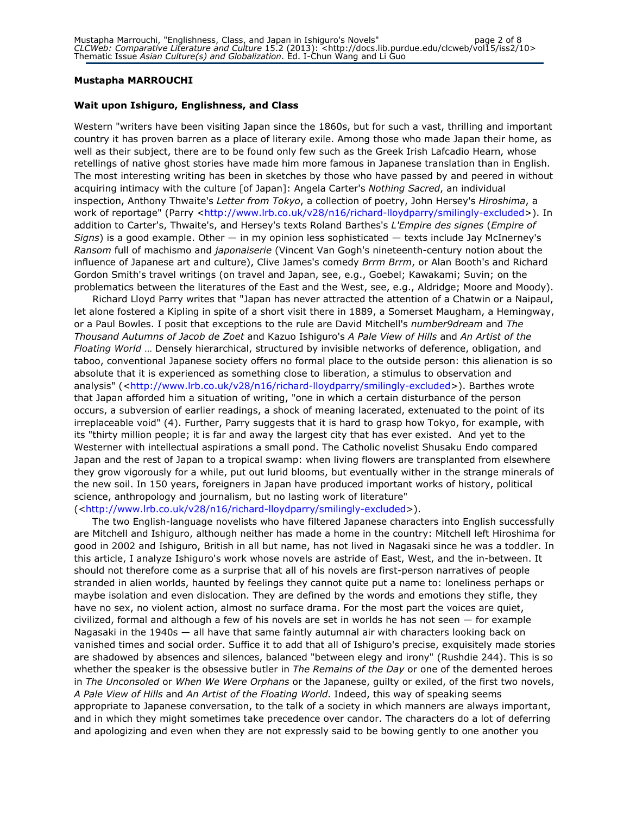#### Mustapha MARROUCHI

### Wait upon Ishiguro, Englishness, and Class

Western "writers have been visiting Japan since the 1860s, but for such a vast, thrilling and important country it has proven barren as a place of literary exile. Among those who made Japan their home, as well as their subject, there are to be found only few such as the Greek Irish Lafcadio Hearn, whose retellings of native ghost stories have made him more famous in Japanese translation than in English. The most interesting writing has been in sketches by those who have passed by and peered in without acquiring intimacy with the culture [of Japan]: Angela Carter's Nothing Sacred, an individual inspection, Anthony Thwaite's Letter from Tokyo, a collection of poetry, John Hersey's Hiroshima, a work of reportage" (Parry <http://www.lrb.co.uk/v28/n16/richard-lloydparry/smilingly-excluded>). In addition to Carter's, Thwaite's, and Hersey's texts Roland Barthes's L'Empire des signes (Empire of  $Signs$ ) is a good example. Other  $-$  in my opinion less sophisticated  $-$  texts include Jay McInerney's Ransom full of machismo and *japonaiserie* (Vincent Van Gogh's nineteenth-century notion about the influence of Japanese art and culture), Clive James's comedy *Brrm Brrm*, or Alan Booth's and Richard Gordon Smith's travel writings (on travel and Japan, see, e.g., Goebel; Kawakami; Suvin; on the problematics between the literatures of the East and the West, see, e.g., Aldridge; Moore and Moody).

Richard Lloyd Parry writes that "Japan has never attracted the attention of a Chatwin or a Naipaul, let alone fostered a Kipling in spite of a short visit there in 1889, a Somerset Maugham, a Hemingway, or a Paul Bowles. I posit that exceptions to the rule are David Mitchell's number9dream and The Thousand Autumns of Jacob de Zoet and Kazuo Ishiguro's A Pale View of Hills and An Artist of the Floating World … Densely hierarchical, structured by invisible networks of deference, obligation, and taboo, conventional Japanese society offers no formal place to the outside person: this alienation is so absolute that it is experienced as something close to liberation, a stimulus to observation and analysis" (<http://www.lrb.co.uk/v28/n16/richard-lloydparry/smilingly-excluded>). Barthes wrote that Japan afforded him a situation of writing, "one in which a certain disturbance of the person occurs, a subversion of earlier readings, a shock of meaning lacerated, extenuated to the point of its irreplaceable void" (4). Further, Parry suggests that it is hard to grasp how Tokyo, for example, with its "thirty million people; it is far and away the largest city that has ever existed. And yet to the Westerner with intellectual aspirations a small pond. The Catholic novelist Shusaku Endo compared Japan and the rest of Japan to a tropical swamp: when living flowers are transplanted from elsewhere they grow vigorously for a while, put out lurid blooms, but eventually wither in the strange minerals of the new soil. In 150 years, foreigners in Japan have produced important works of history, political science, anthropology and journalism, but no lasting work of literature"

(<http://www.lrb.co.uk/v28/n16/richard-lloydparry/smilingly-excluded>).

The two English-language novelists who have filtered Japanese characters into English successfully are Mitchell and Ishiguro, although neither has made a home in the country: Mitchell left Hiroshima for good in 2002 and Ishiguro, British in all but name, has not lived in Nagasaki since he was a toddler. In this article, I analyze Ishiguro's work whose novels are astride of East, West, and the in-between. It should not therefore come as a surprise that all of his novels are first-person narratives of people stranded in alien worlds, haunted by feelings they cannot quite put a name to: loneliness perhaps or maybe isolation and even dislocation. They are defined by the words and emotions they stifle, they have no sex, no violent action, almost no surface drama. For the most part the voices are quiet, civilized, formal and although a few of his novels are set in worlds he has not seen  $-$  for example Nagasaki in the 1940s — all have that same faintly autumnal air with characters looking back on vanished times and social order. Suffice it to add that all of Ishiguro's precise, exquisitely made stories are shadowed by absences and silences, balanced "between elegy and irony" (Rushdie 244). This is so whether the speaker is the obsessive butler in *The Remains of the Day* or one of the demented heroes in The Unconsoled or When We Were Orphans or the Japanese, guilty or exiled, of the first two novels, A Pale View of Hills and An Artist of the Floating World. Indeed, this way of speaking seems appropriate to Japanese conversation, to the talk of a society in which manners are always important, and in which they might sometimes take precedence over candor. The characters do a lot of deferring and apologizing and even when they are not expressly said to be bowing gently to one another you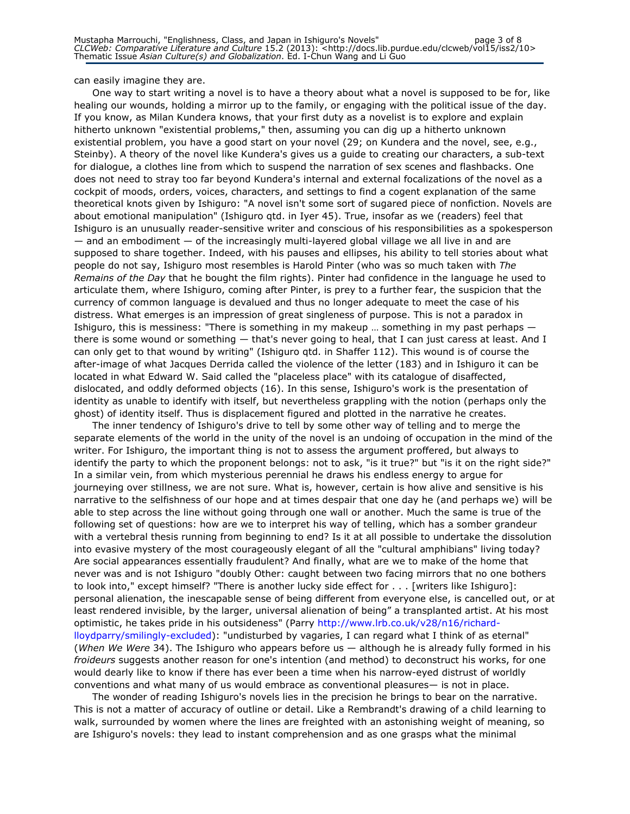can easily imagine they are.

One way to start writing a novel is to have a theory about what a novel is supposed to be for, like healing our wounds, holding a mirror up to the family, or engaging with the political issue of the day. If you know, as Milan Kundera knows, that your first duty as a novelist is to explore and explain hitherto unknown "existential problems," then, assuming you can dig up a hitherto unknown existential problem, you have a good start on your novel (29; on Kundera and the novel, see, e.g., Steinby). A theory of the novel like Kundera's gives us a guide to creating our characters, a sub-text for dialogue, a clothes line from which to suspend the narration of sex scenes and flashbacks. One does not need to stray too far beyond Kundera's internal and external focalizations of the novel as a cockpit of moods, orders, voices, characters, and settings to find a cogent explanation of the same theoretical knots given by Ishiguro: "A novel isn't some sort of sugared piece of nonfiction. Novels are about emotional manipulation" (Ishiguro qtd. in Iyer 45). True, insofar as we (readers) feel that Ishiguro is an unusually reader-sensitive writer and conscious of his responsibilities as a spokesperson  $-$  and an embodiment  $-$  of the increasingly multi-layered global village we all live in and are supposed to share together. Indeed, with his pauses and ellipses, his ability to tell stories about what people do not say, Ishiguro most resembles is Harold Pinter (who was so much taken with The Remains of the Day that he bought the film rights). Pinter had confidence in the language he used to articulate them, where Ishiguro, coming after Pinter, is prey to a further fear, the suspicion that the currency of common language is devalued and thus no longer adequate to meet the case of his distress. What emerges is an impression of great singleness of purpose. This is not a paradox in Ishiguro, this is messiness: "There is something in my makeup … something in my past perhaps there is some wound or something — that's never going to heal, that I can just caress at least. And I can only get to that wound by writing" (Ishiguro qtd. in Shaffer 112). This wound is of course the after-image of what Jacques Derrida called the violence of the letter (183) and in Ishiguro it can be located in what Edward W. Said called the "placeless place" with its catalogue of disaffected, dislocated, and oddly deformed objects (16). In this sense, Ishiguro's work is the presentation of identity as unable to identify with itself, but nevertheless grappling with the notion (perhaps only the ghost) of identity itself. Thus is displacement figured and plotted in the narrative he creates.

The inner tendency of Ishiguro's drive to tell by some other way of telling and to merge the separate elements of the world in the unity of the novel is an undoing of occupation in the mind of the writer. For Ishiguro, the important thing is not to assess the argument proffered, but always to identify the party to which the proponent belongs: not to ask, "is it true?" but "is it on the right side?" In a similar vein, from which mysterious perennial he draws his endless energy to argue for journeying over stillness, we are not sure. What is, however, certain is how alive and sensitive is his narrative to the selfishness of our hope and at times despair that one day he (and perhaps we) will be able to step across the line without going through one wall or another. Much the same is true of the following set of questions: how are we to interpret his way of telling, which has a somber grandeur with a vertebral thesis running from beginning to end? Is it at all possible to undertake the dissolution into evasive mystery of the most courageously elegant of all the "cultural amphibians" living today? Are social appearances essentially fraudulent? And finally, what are we to make of the home that never was and is not Ishiguro "doubly Other: caught between two facing mirrors that no one bothers to look into," except himself? "There is another lucky side effect for . . . [writers like Ishiguro]: personal alienation, the inescapable sense of being different from everyone else, is cancelled out, or at least rendered invisible, by the larger, universal alienation of being" a transplanted artist. At his most optimistic, he takes pride in his outsideness" (Parry http://www.lrb.co.uk/v28/n16/richardlloydparry/smilingly-excluded): "undisturbed by vagaries, I can regard what I think of as eternal" (When We Were 34). The Ishiguro who appears before us  $-$  although he is already fully formed in his froideurs suggests another reason for one's intention (and method) to deconstruct his works, for one would dearly like to know if there has ever been a time when his narrow-eyed distrust of worldly conventions and what many of us would embrace as conventional pleasures— is not in place.

The wonder of reading Ishiguro's novels lies in the precision he brings to bear on the narrative. This is not a matter of accuracy of outline or detail. Like a Rembrandt's drawing of a child learning to walk, surrounded by women where the lines are freighted with an astonishing weight of meaning, so are Ishiguro's novels: they lead to instant comprehension and as one grasps what the minimal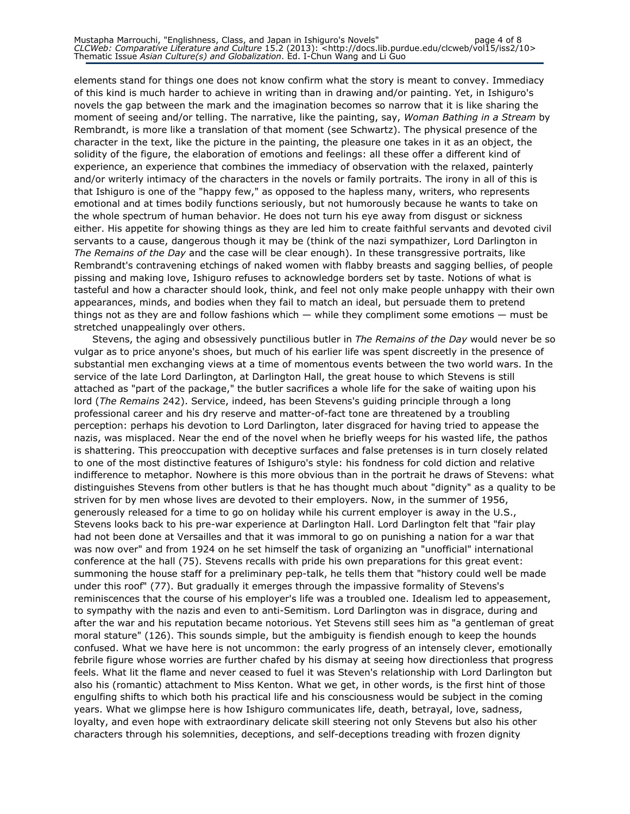elements stand for things one does not know confirm what the story is meant to convey. Immediacy of this kind is much harder to achieve in writing than in drawing and/or painting. Yet, in Ishiguro's novels the gap between the mark and the imagination becomes so narrow that it is like sharing the moment of seeing and/or telling. The narrative, like the painting, say, Woman Bathing in a Stream by Rembrandt, is more like a translation of that moment (see Schwartz). The physical presence of the character in the text, like the picture in the painting, the pleasure one takes in it as an object, the solidity of the figure, the elaboration of emotions and feelings: all these offer a different kind of experience, an experience that combines the immediacy of observation with the relaxed, painterly and/or writerly intimacy of the characters in the novels or family portraits. The irony in all of this is that Ishiguro is one of the "happy few," as opposed to the hapless many, writers, who represents emotional and at times bodily functions seriously, but not humorously because he wants to take on the whole spectrum of human behavior. He does not turn his eye away from disgust or sickness either. His appetite for showing things as they are led him to create faithful servants and devoted civil servants to a cause, dangerous though it may be (think of the nazi sympathizer, Lord Darlington in The Remains of the Day and the case will be clear enough). In these transgressive portraits, like Rembrandt's contravening etchings of naked women with flabby breasts and sagging bellies, of people pissing and making love, Ishiguro refuses to acknowledge borders set by taste. Notions of what is tasteful and how a character should look, think, and feel not only make people unhappy with their own appearances, minds, and bodies when they fail to match an ideal, but persuade them to pretend things not as they are and follow fashions which — while they compliment some emotions — must be stretched unappealingly over others.

Stevens, the aging and obsessively punctilious butler in The Remains of the Day would never be so vulgar as to price anyone's shoes, but much of his earlier life was spent discreetly in the presence of substantial men exchanging views at a time of momentous events between the two world wars. In the service of the late Lord Darlington, at Darlington Hall, the great house to which Stevens is still attached as "part of the package," the butler sacrifices a whole life for the sake of waiting upon his lord (The Remains 242). Service, indeed, has been Stevens's quiding principle through a long professional career and his dry reserve and matter-of-fact tone are threatened by a troubling perception: perhaps his devotion to Lord Darlington, later disgraced for having tried to appease the nazis, was misplaced. Near the end of the novel when he briefly weeps for his wasted life, the pathos is shattering. This preoccupation with deceptive surfaces and false pretenses is in turn closely related to one of the most distinctive features of Ishiguro's style: his fondness for cold diction and relative indifference to metaphor. Nowhere is this more obvious than in the portrait he draws of Stevens: what distinguishes Stevens from other butlers is that he has thought much about "dignity" as a quality to be striven for by men whose lives are devoted to their employers. Now, in the summer of 1956, generously released for a time to go on holiday while his current employer is away in the U.S., Stevens looks back to his pre-war experience at Darlington Hall. Lord Darlington felt that "fair play had not been done at Versailles and that it was immoral to go on punishing a nation for a war that was now over" and from 1924 on he set himself the task of organizing an "unofficial" international conference at the hall (75). Stevens recalls with pride his own preparations for this great event: summoning the house staff for a preliminary pep-talk, he tells them that "history could well be made under this roof" (77). But gradually it emerges through the impassive formality of Stevens's reminiscences that the course of his employer's life was a troubled one. Idealism led to appeasement, to sympathy with the nazis and even to anti-Semitism. Lord Darlington was in disgrace, during and after the war and his reputation became notorious. Yet Stevens still sees him as "a gentleman of great moral stature" (126). This sounds simple, but the ambiguity is fiendish enough to keep the hounds confused. What we have here is not uncommon: the early progress of an intensely clever, emotionally febrile figure whose worries are further chafed by his dismay at seeing how directionless that progress feels. What lit the flame and never ceased to fuel it was Steven's relationship with Lord Darlington but also his (romantic) attachment to Miss Kenton. What we get, in other words, is the first hint of those engulfing shifts to which both his practical life and his consciousness would be subject in the coming years. What we glimpse here is how Ishiguro communicates life, death, betrayal, love, sadness, loyalty, and even hope with extraordinary delicate skill steering not only Stevens but also his other characters through his solemnities, deceptions, and self-deceptions treading with frozen dignity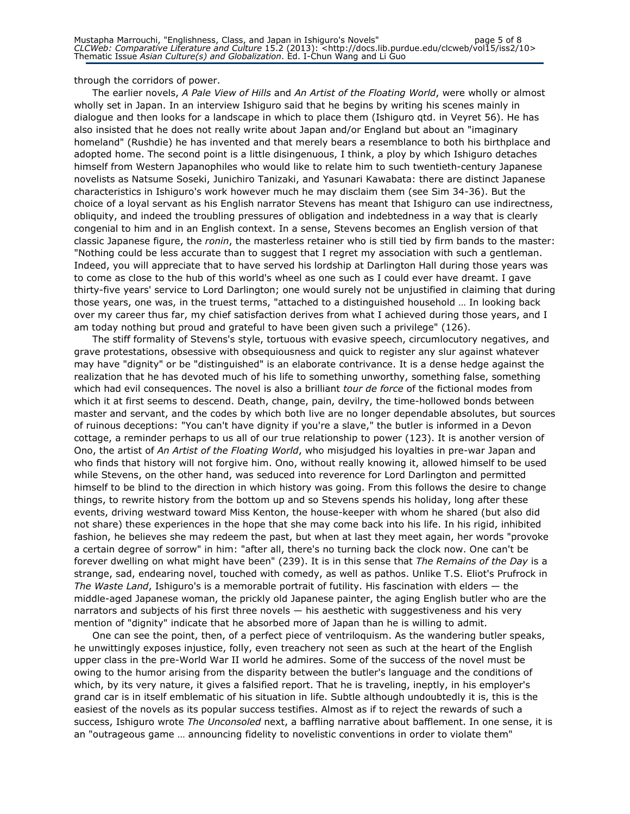through the corridors of power.

The earlier novels, A Pale View of Hills and An Artist of the Floating World, were wholly or almost wholly set in Japan. In an interview Ishiguro said that he begins by writing his scenes mainly in dialogue and then looks for a landscape in which to place them (Ishiguro qtd. in Veyret 56). He has also insisted that he does not really write about Japan and/or England but about an "imaginary homeland" (Rushdie) he has invented and that merely bears a resemblance to both his birthplace and adopted home. The second point is a little disingenuous, I think, a ploy by which Ishiguro detaches himself from Western Japanophiles who would like to relate him to such twentieth-century Japanese novelists as Natsume Soseki, Junichiro Tanizaki, and Yasunari Kawabata: there are distinct Japanese characteristics in Ishiguro's work however much he may disclaim them (see Sim 34-36). But the choice of a loyal servant as his English narrator Stevens has meant that Ishiguro can use indirectness, obliquity, and indeed the troubling pressures of obligation and indebtedness in a way that is clearly congenial to him and in an English context. In a sense, Stevens becomes an English version of that classic Japanese figure, the ronin, the masterless retainer who is still tied by firm bands to the master: "Nothing could be less accurate than to suggest that I regret my association with such a gentleman. Indeed, you will appreciate that to have served his lordship at Darlington Hall during those years was to come as close to the hub of this world's wheel as one such as I could ever have dreamt. I gave thirty-five years' service to Lord Darlington; one would surely not be unjustified in claiming that during those years, one was, in the truest terms, "attached to a distinguished household … In looking back over my career thus far, my chief satisfaction derives from what I achieved during those years, and I am today nothing but proud and grateful to have been given such a privilege" (126).

The stiff formality of Stevens's style, tortuous with evasive speech, circumlocutory negatives, and grave protestations, obsessive with obsequiousness and quick to register any slur against whatever may have "dignity" or be "distinguished" is an elaborate contrivance. It is a dense hedge against the realization that he has devoted much of his life to something unworthy, something false, something which had evil consequences. The novel is also a brilliant tour de force of the fictional modes from which it at first seems to descend. Death, change, pain, devilry, the time-hollowed bonds between master and servant, and the codes by which both live are no longer dependable absolutes, but sources of ruinous deceptions: "You can't have dignity if you're a slave," the butler is informed in a Devon cottage, a reminder perhaps to us all of our true relationship to power (123). It is another version of Ono, the artist of An Artist of the Floating World, who misjudged his loyalties in pre-war Japan and who finds that history will not forgive him. Ono, without really knowing it, allowed himself to be used while Stevens, on the other hand, was seduced into reverence for Lord Darlington and permitted himself to be blind to the direction in which history was going. From this follows the desire to change things, to rewrite history from the bottom up and so Stevens spends his holiday, long after these events, driving westward toward Miss Kenton, the house-keeper with whom he shared (but also did not share) these experiences in the hope that she may come back into his life. In his rigid, inhibited fashion, he believes she may redeem the past, but when at last they meet again, her words "provoke a certain degree of sorrow" in him: "after all, there's no turning back the clock now. One can't be forever dwelling on what might have been" (239). It is in this sense that The Remains of the Day is a strange, sad, endearing novel, touched with comedy, as well as pathos. Unlike T.S. Eliot's Prufrock in The Waste Land, Ishiguro's is a memorable portrait of futility. His fascination with elders  $-$  the middle-aged Japanese woman, the prickly old Japanese painter, the aging English butler who are the narrators and subjects of his first three novels — his aesthetic with suggestiveness and his very mention of "dignity" indicate that he absorbed more of Japan than he is willing to admit.

One can see the point, then, of a perfect piece of ventriloquism. As the wandering butler speaks, he unwittingly exposes injustice, folly, even treachery not seen as such at the heart of the English upper class in the pre-World War II world he admires. Some of the success of the novel must be owing to the humor arising from the disparity between the butler's language and the conditions of which, by its very nature, it gives a falsified report. That he is traveling, ineptly, in his employer's grand car is in itself emblematic of his situation in life. Subtle although undoubtedly it is, this is the easiest of the novels as its popular success testifies. Almost as if to reject the rewards of such a success, Ishiguro wrote The Unconsoled next, a baffling narrative about bafflement. In one sense, it is an "outrageous game … announcing fidelity to novelistic conventions in order to violate them"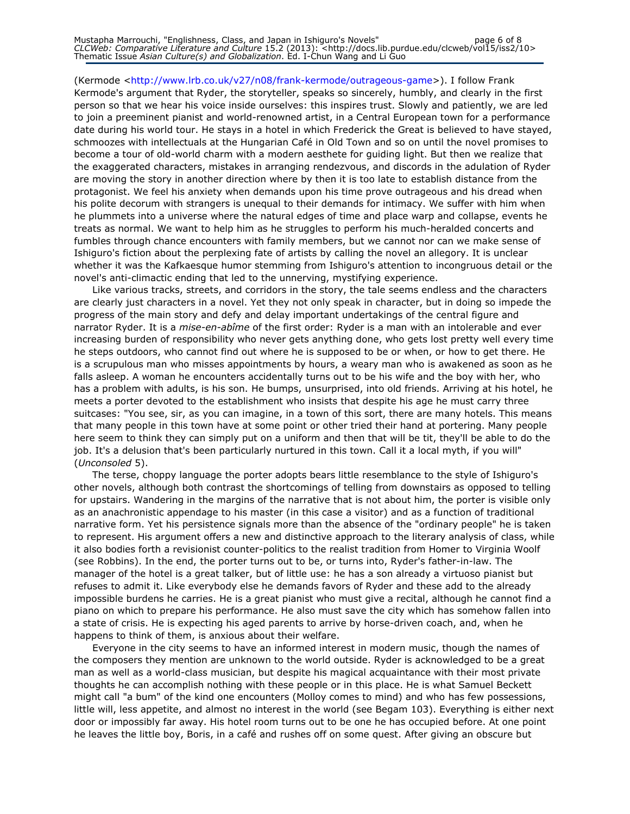(Kermode <http://www.lrb.co.uk/v27/n08/frank-kermode/outrageous-game>). I follow Frank Kermode's argument that Ryder, the storyteller, speaks so sincerely, humbly, and clearly in the first person so that we hear his voice inside ourselves: this inspires trust. Slowly and patiently, we are led to join a preeminent pianist and world-renowned artist, in a Central European town for a performance date during his world tour. He stays in a hotel in which Frederick the Great is believed to have stayed, schmoozes with intellectuals at the Hungarian Café in Old Town and so on until the novel promises to become a tour of old-world charm with a modern aesthete for guiding light. But then we realize that the exaggerated characters, mistakes in arranging rendezvous, and discords in the adulation of Ryder are moving the story in another direction where by then it is too late to establish distance from the protagonist. We feel his anxiety when demands upon his time prove outrageous and his dread when his polite decorum with strangers is unequal to their demands for intimacy. We suffer with him when he plummets into a universe where the natural edges of time and place warp and collapse, events he treats as normal. We want to help him as he struggles to perform his much-heralded concerts and fumbles through chance encounters with family members, but we cannot nor can we make sense of Ishiguro's fiction about the perplexing fate of artists by calling the novel an allegory. It is unclear whether it was the Kafkaesque humor stemming from Ishiguro's attention to incongruous detail or the novel's anti-climactic ending that led to the unnerving, mystifying experience.

Like various tracks, streets, and corridors in the story, the tale seems endless and the characters are clearly just characters in a novel. Yet they not only speak in character, but in doing so impede the progress of the main story and defy and delay important undertakings of the central figure and narrator Ryder. It is a *mise-en-abîme* of the first order: Ryder is a man with an intolerable and ever increasing burden of responsibility who never gets anything done, who gets lost pretty well every time he steps outdoors, who cannot find out where he is supposed to be or when, or how to get there. He is a scrupulous man who misses appointments by hours, a weary man who is awakened as soon as he falls asleep. A woman he encounters accidentally turns out to be his wife and the boy with her, who has a problem with adults, is his son. He bumps, unsurprised, into old friends. Arriving at his hotel, he meets a porter devoted to the establishment who insists that despite his age he must carry three suitcases: "You see, sir, as you can imagine, in a town of this sort, there are many hotels. This means that many people in this town have at some point or other tried their hand at portering. Many people here seem to think they can simply put on a uniform and then that will be tit, they'll be able to do the job. It's a delusion that's been particularly nurtured in this town. Call it a local myth, if you will" (Unconsoled 5).

The terse, choppy language the porter adopts bears little resemblance to the style of Ishiguro's other novels, although both contrast the shortcomings of telling from downstairs as opposed to telling for upstairs. Wandering in the margins of the narrative that is not about him, the porter is visible only as an anachronistic appendage to his master (in this case a visitor) and as a function of traditional narrative form. Yet his persistence signals more than the absence of the "ordinary people" he is taken to represent. His argument offers a new and distinctive approach to the literary analysis of class, while it also bodies forth a revisionist counter-politics to the realist tradition from Homer to Virginia Woolf (see Robbins). In the end, the porter turns out to be, or turns into, Ryder's father-in-law. The manager of the hotel is a great talker, but of little use: he has a son already a virtuoso pianist but refuses to admit it. Like everybody else he demands favors of Ryder and these add to the already impossible burdens he carries. He is a great pianist who must give a recital, although he cannot find a piano on which to prepare his performance. He also must save the city which has somehow fallen into a state of crisis. He is expecting his aged parents to arrive by horse-driven coach, and, when he happens to think of them, is anxious about their welfare.

Everyone in the city seems to have an informed interest in modern music, though the names of the composers they mention are unknown to the world outside. Ryder is acknowledged to be a great man as well as a world-class musician, but despite his magical acquaintance with their most private thoughts he can accomplish nothing with these people or in this place. He is what Samuel Beckett might call "a bum" of the kind one encounters (Molloy comes to mind) and who has few possessions, little will, less appetite, and almost no interest in the world (see Begam 103). Everything is either next door or impossibly far away. His hotel room turns out to be one he has occupied before. At one point he leaves the little boy, Boris, in a café and rushes off on some quest. After giving an obscure but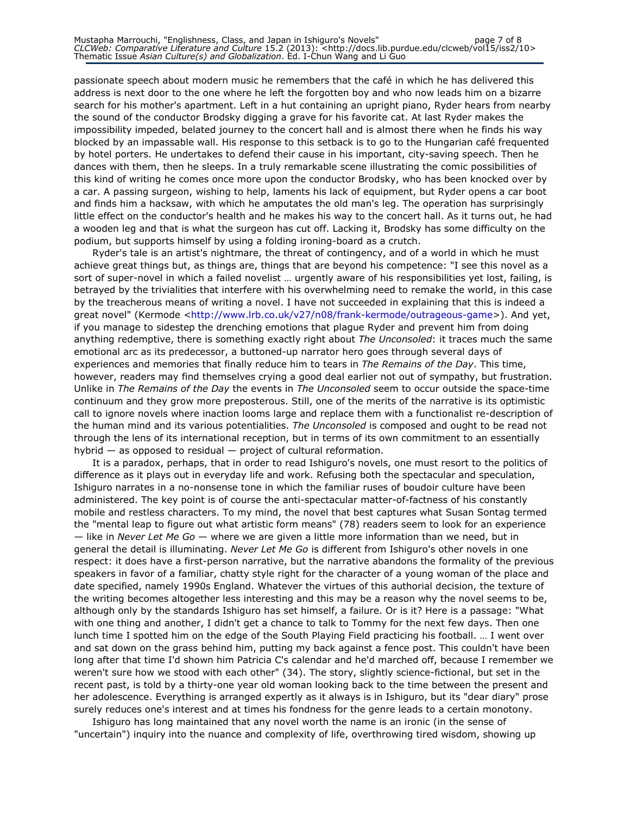passionate speech about modern music he remembers that the café in which he has delivered this address is next door to the one where he left the forgotten boy and who now leads him on a bizarre search for his mother's apartment. Left in a hut containing an upright piano, Ryder hears from nearby the sound of the conductor Brodsky digging a grave for his favorite cat. At last Ryder makes the impossibility impeded, belated journey to the concert hall and is almost there when he finds his way blocked by an impassable wall. His response to this setback is to go to the Hungarian café frequented by hotel porters. He undertakes to defend their cause in his important, city-saving speech. Then he dances with them, then he sleeps. In a truly remarkable scene illustrating the comic possibilities of this kind of writing he comes once more upon the conductor Brodsky, who has been knocked over by a car. A passing surgeon, wishing to help, laments his lack of equipment, but Ryder opens a car boot and finds him a hacksaw, with which he amputates the old man's leg. The operation has surprisingly little effect on the conductor's health and he makes his way to the concert hall. As it turns out, he had a wooden leg and that is what the surgeon has cut off. Lacking it, Brodsky has some difficulty on the podium, but supports himself by using a folding ironing-board as a crutch.

Ryder's tale is an artist's nightmare, the threat of contingency, and of a world in which he must achieve great things but, as things are, things that are beyond his competence: "I see this novel as a sort of super-novel in which a failed novelist … urgently aware of his responsibilities yet lost, failing, is betrayed by the trivialities that interfere with his overwhelming need to remake the world, in this case by the treacherous means of writing a novel. I have not succeeded in explaining that this is indeed a great novel" (Kermode <http://www.lrb.co.uk/v27/n08/frank-kermode/outrageous-game>). And yet, if you manage to sidestep the drenching emotions that plague Ryder and prevent him from doing anything redemptive, there is something exactly right about The Unconsoled: it traces much the same emotional arc as its predecessor, a buttoned-up narrator hero goes through several days of experiences and memories that finally reduce him to tears in The Remains of the Day. This time, however, readers may find themselves crying a good deal earlier not out of sympathy, but frustration. Unlike in The Remains of the Day the events in The Unconsoled seem to occur outside the space-time continuum and they grow more preposterous. Still, one of the merits of the narrative is its optimistic call to ignore novels where inaction looms large and replace them with a functionalist re-description of the human mind and its various potentialities. The Unconsoled is composed and ought to be read not through the lens of its international reception, but in terms of its own commitment to an essentially hybrid — as opposed to residual — project of cultural reformation.

It is a paradox, perhaps, that in order to read Ishiguro's novels, one must resort to the politics of difference as it plays out in everyday life and work. Refusing both the spectacular and speculation, Ishiguro narrates in a no-nonsense tone in which the familiar ruses of boudoir culture have been administered. The key point is of course the anti-spectacular matter-of-factness of his constantly mobile and restless characters. To my mind, the novel that best captures what Susan Sontag termed the "mental leap to figure out what artistic form means" (78) readers seem to look for an experience — like in Never Let Me Go — where we are given a little more information than we need, but in general the detail is illuminating. Never Let Me Go is different from Ishiguro's other novels in one respect: it does have a first-person narrative, but the narrative abandons the formality of the previous speakers in favor of a familiar, chatty style right for the character of a young woman of the place and date specified, namely 1990s England. Whatever the virtues of this authorial decision, the texture of the writing becomes altogether less interesting and this may be a reason why the novel seems to be, although only by the standards Ishiguro has set himself, a failure. Or is it? Here is a passage: "What with one thing and another, I didn't get a chance to talk to Tommy for the next few days. Then one lunch time I spotted him on the edge of the South Playing Field practicing his football. … I went over and sat down on the grass behind him, putting my back against a fence post. This couldn't have been long after that time I'd shown him Patricia C's calendar and he'd marched off, because I remember we weren't sure how we stood with each other" (34). The story, slightly science-fictional, but set in the recent past, is told by a thirty-one year old woman looking back to the time between the present and her adolescence. Everything is arranged expertly as it always is in Ishiguro, but its "dear diary" prose surely reduces one's interest and at times his fondness for the genre leads to a certain monotony.

Ishiguro has long maintained that any novel worth the name is an ironic (in the sense of "uncertain") inquiry into the nuance and complexity of life, overthrowing tired wisdom, showing up